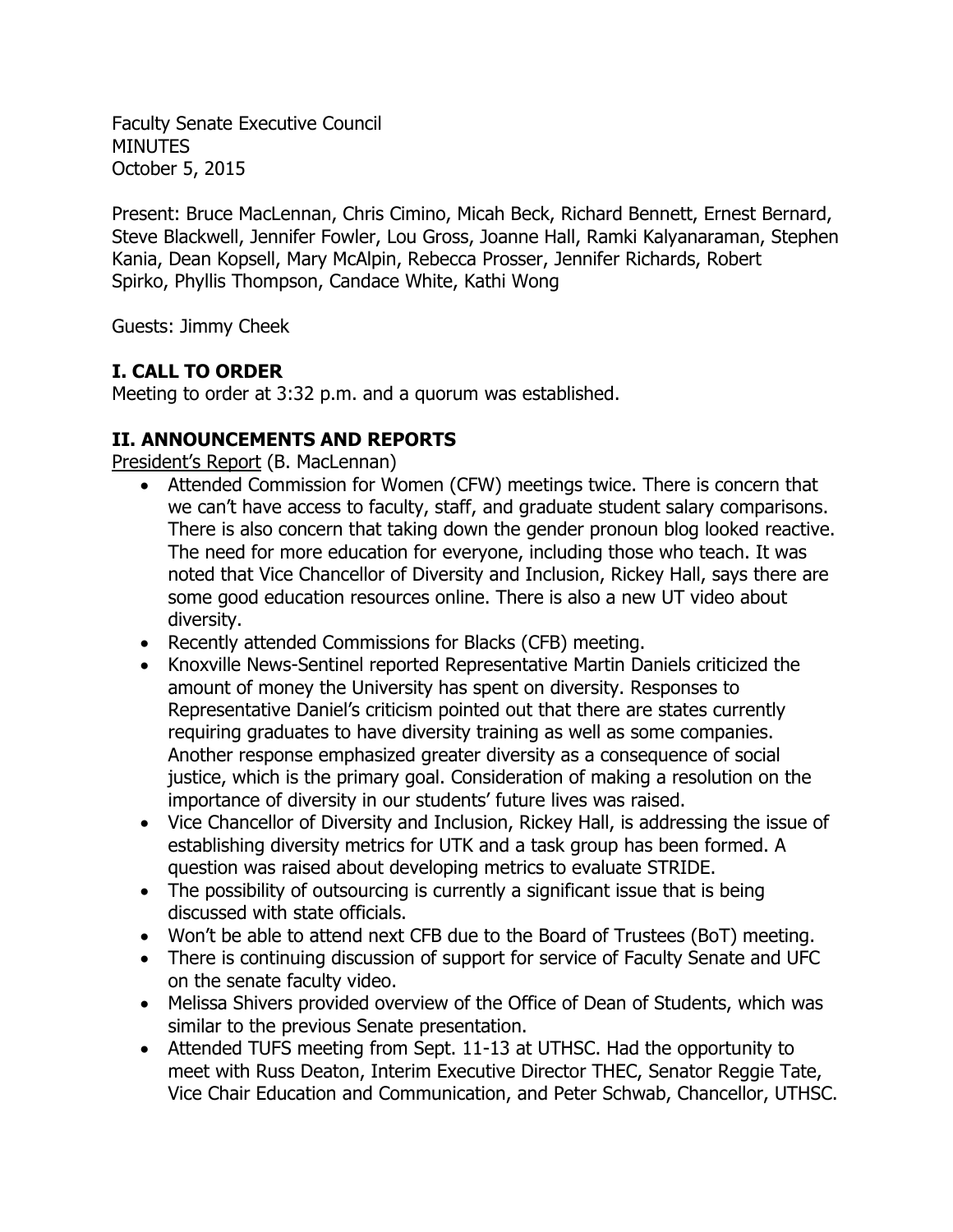Faculty Senate Executive Council **MINUTES** October 5, 2015

Present: Bruce MacLennan, Chris Cimino, Micah Beck, Richard Bennett, Ernest Bernard, Steve Blackwell, Jennifer Fowler, Lou Gross, Joanne Hall, Ramki Kalyanaraman, Stephen Kania, Dean Kopsell, Mary McAlpin, Rebecca Prosser, Jennifer Richards, Robert Spirko, Phyllis Thompson, Candace White, Kathi Wong

Guests: Jimmy Cheek

# **I. CALL TO ORDER**

Meeting to order at 3:32 p.m. and a quorum was established.

# **II. ANNOUNCEMENTS AND REPORTS**

President's Report (B. MacLennan)

- Attended Commission for Women (CFW) meetings twice. There is concern that we can't have access to faculty, staff, and graduate student salary comparisons. There is also concern that taking down the gender pronoun blog looked reactive. The need for more education for everyone, including those who teach. It was noted that Vice Chancellor of Diversity and Inclusion, Rickey Hall, says there are some good education resources online. There is also a new UT video about diversity.
- Recently attended Commissions for Blacks (CFB) meeting.
- Knoxville News-Sentinel reported Representative Martin Daniels criticized the amount of money the University has spent on diversity. Responses to Representative Daniel's criticism pointed out that there are states currently requiring graduates to have diversity training as well as some companies. Another response emphasized greater diversity as a consequence of social justice, which is the primary goal. Consideration of making a resolution on the importance of diversity in our students' future lives was raised.
- Vice Chancellor of Diversity and Inclusion, Rickey Hall, is addressing the issue of establishing diversity metrics for UTK and a task group has been formed. A question was raised about developing metrics to evaluate STRIDE.
- The possibility of outsourcing is currently a significant issue that is being discussed with state officials.
- Won't be able to attend next CFB due to the Board of Trustees (BoT) meeting.
- There is continuing discussion of support for service of Faculty Senate and UFC on the senate faculty video.
- Melissa Shivers provided overview of the Office of Dean of Students, which was similar to the previous Senate presentation.
- Attended TUFS meeting from Sept. 11-13 at UTHSC. Had the opportunity to meet with Russ Deaton, Interim Executive Director THEC, Senator Reggie Tate, Vice Chair Education and Communication, and Peter Schwab, Chancellor, UTHSC.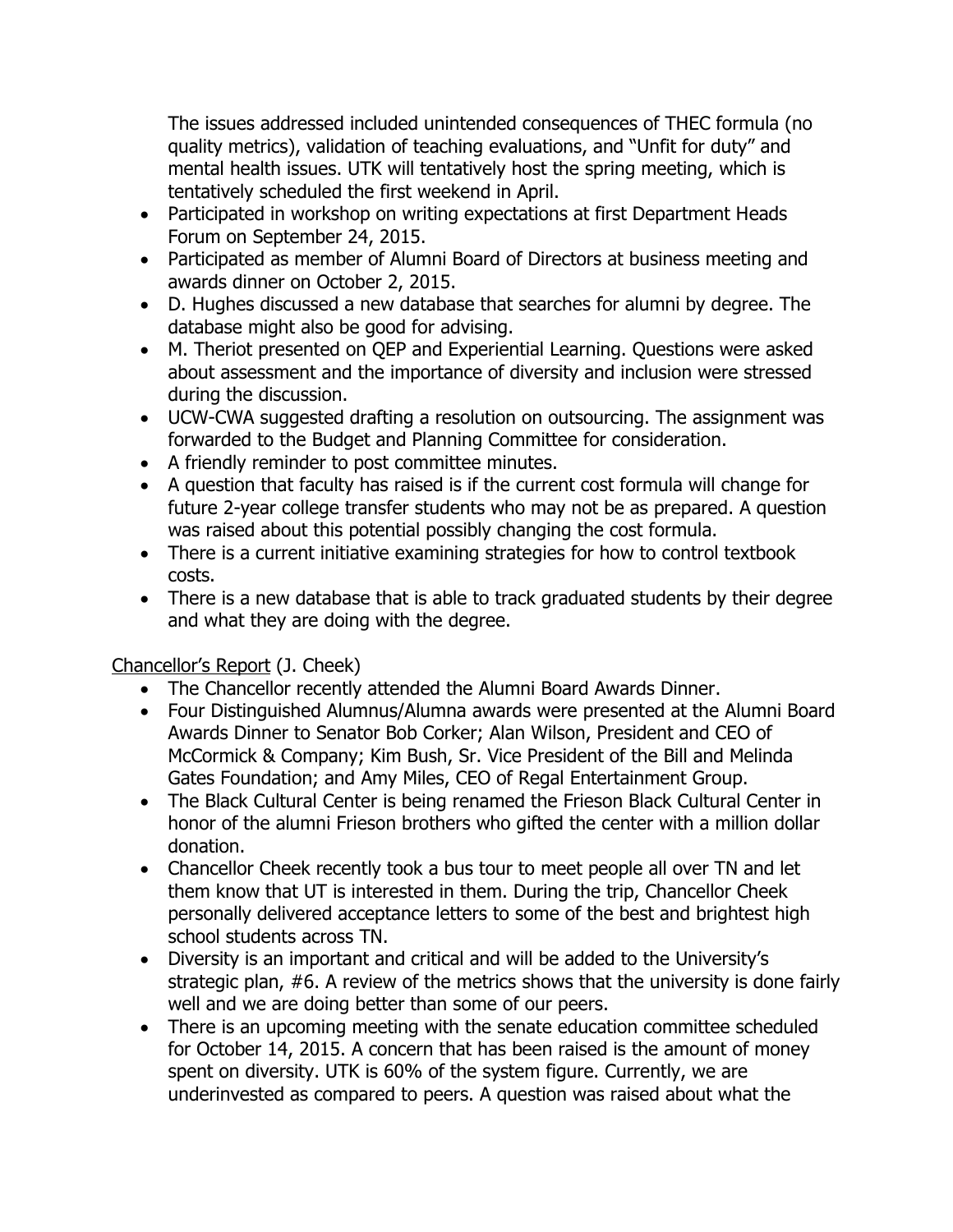The issues addressed included unintended consequences of THEC formula (no quality metrics), validation of teaching evaluations, and "Unfit for duty" and mental health issues. UTK will tentatively host the spring meeting, which is tentatively scheduled the first weekend in April.

- Participated in workshop on writing expectations at first Department Heads Forum on September 24, 2015.
- Participated as member of Alumni Board of Directors at business meeting and awards dinner on October 2, 2015.
- D. Hughes discussed a new database that searches for alumni by degree. The database might also be good for advising.
- M. Theriot presented on QEP and Experiential Learning. Questions were asked about assessment and the importance of diversity and inclusion were stressed during the discussion.
- UCW-CWA suggested drafting a resolution on outsourcing. The assignment was forwarded to the Budget and Planning Committee for consideration.
- A friendly reminder to post committee minutes.
- A question that faculty has raised is if the current cost formula will change for future 2-year college transfer students who may not be as prepared. A question was raised about this potential possibly changing the cost formula.
- There is a current initiative examining strategies for how to control textbook costs.
- There is a new database that is able to track graduated students by their degree and what they are doing with the degree.

Chancellor's Report (J. Cheek)

- The Chancellor recently attended the Alumni Board Awards Dinner.
- Four Distinguished Alumnus/Alumna awards were presented at the Alumni Board Awards Dinner to Senator Bob Corker; Alan Wilson, President and CEO of McCormick & Company; Kim Bush, Sr. Vice President of the Bill and Melinda Gates Foundation; and Amy Miles, CEO of Regal Entertainment Group.
- The Black Cultural Center is being renamed the Frieson Black Cultural Center in honor of the alumni Frieson brothers who gifted the center with a million dollar donation.
- Chancellor Cheek recently took a bus tour to meet people all over TN and let them know that UT is interested in them. During the trip, Chancellor Cheek personally delivered acceptance letters to some of the best and brightest high school students across TN.
- Diversity is an important and critical and will be added to the University's strategic plan, #6. A review of the metrics shows that the university is done fairly well and we are doing better than some of our peers.
- There is an upcoming meeting with the senate education committee scheduled for October 14, 2015. A concern that has been raised is the amount of money spent on diversity. UTK is 60% of the system figure. Currently, we are underinvested as compared to peers. A question was raised about what the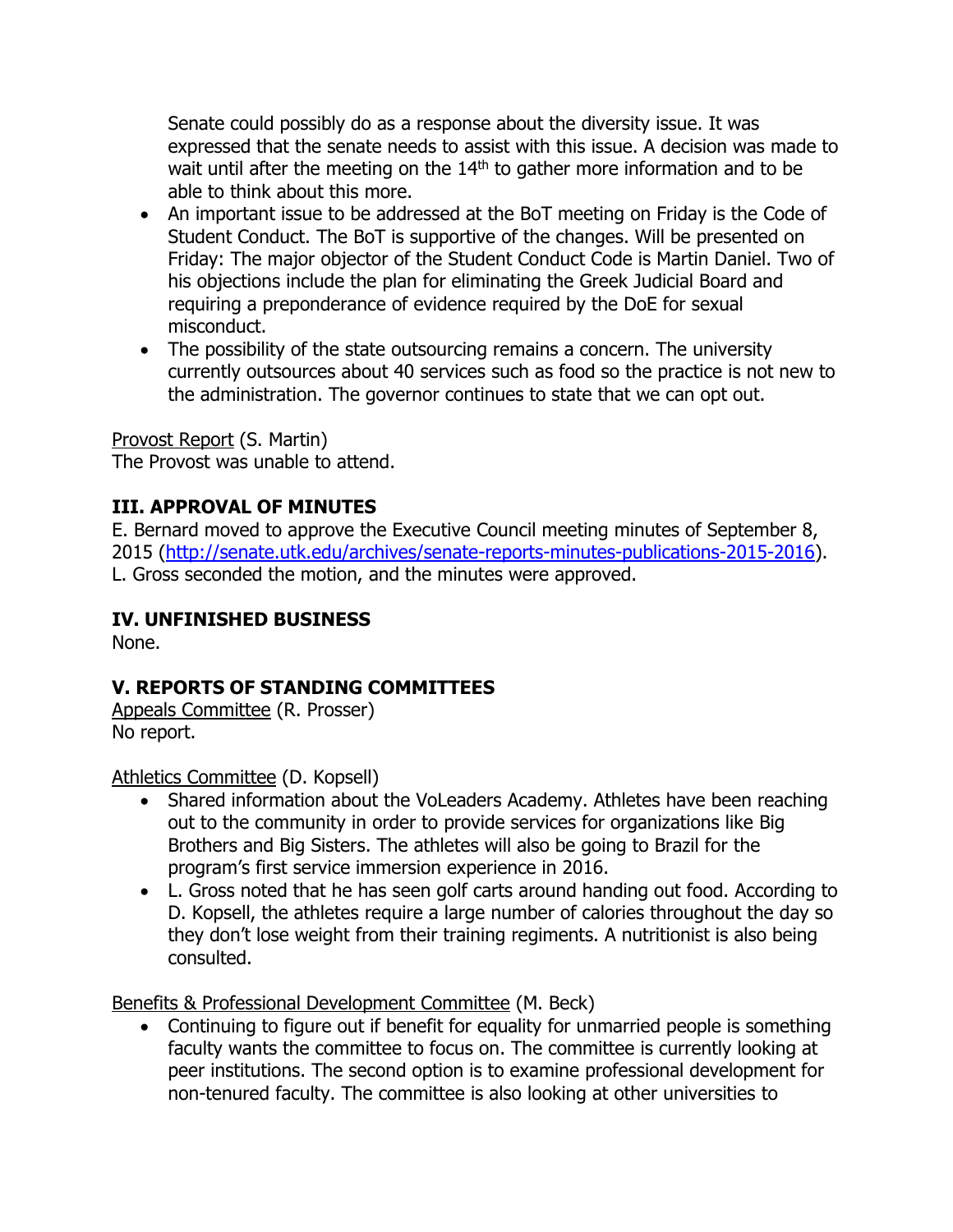Senate could possibly do as a response about the diversity issue. It was expressed that the senate needs to assist with this issue. A decision was made to wait until after the meeting on the  $14<sup>th</sup>$  to gather more information and to be able to think about this more.

- An important issue to be addressed at the BoT meeting on Friday is the Code of Student Conduct. The BoT is supportive of the changes. Will be presented on Friday: The major objector of the Student Conduct Code is Martin Daniel. Two of his objections include the plan for eliminating the Greek Judicial Board and requiring a preponderance of evidence required by the DoE for sexual misconduct.
- The possibility of the state outsourcing remains a concern. The university currently outsources about 40 services such as food so the practice is not new to the administration. The governor continues to state that we can opt out.

Provost Report (S. Martin)

The Provost was unable to attend.

# **III. APPROVAL OF MINUTES**

E. Bernard moved to approve the Executive Council meeting minutes of September 8, 2015 [\(http://senate.utk.edu/archives/senate-reports-minutes-publications-2015-2016\)](http://senate.utk.edu/archives/senate-reports-minutes-publications-2015-2016). L. Gross seconded the motion, and the minutes were approved.

#### **IV. UNFINISHED BUSINESS**

None.

## **V. REPORTS OF STANDING COMMITTEES**

Appeals Committee (R. Prosser) No report.

Athletics Committee (D. Kopsell)

- Shared information about the VoLeaders Academy. Athletes have been reaching out to the community in order to provide services for organizations like Big Brothers and Big Sisters. The athletes will also be going to Brazil for the program's first service immersion experience in 2016.
- L. Gross noted that he has seen golf carts around handing out food. According to D. Kopsell, the athletes require a large number of calories throughout the day so they don't lose weight from their training regiments. A nutritionist is also being consulted.

Benefits & Professional Development Committee (M. Beck)

• Continuing to figure out if benefit for equality for unmarried people is something faculty wants the committee to focus on. The committee is currently looking at peer institutions. The second option is to examine professional development for non-tenured faculty. The committee is also looking at other universities to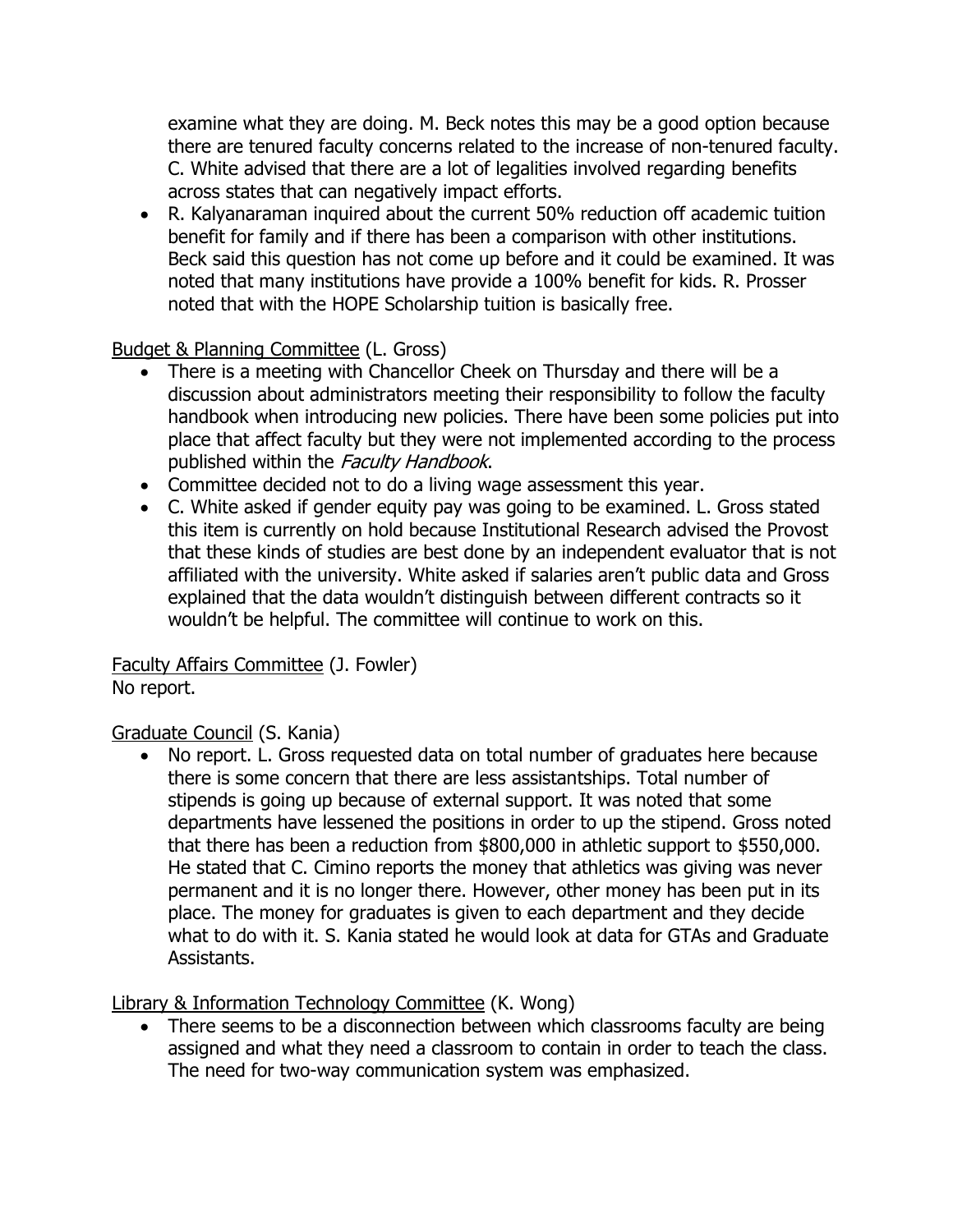examine what they are doing. M. Beck notes this may be a good option because there are tenured faculty concerns related to the increase of non-tenured faculty. C. White advised that there are a lot of legalities involved regarding benefits across states that can negatively impact efforts.

 R. Kalyanaraman inquired about the current 50% reduction off academic tuition benefit for family and if there has been a comparison with other institutions. Beck said this question has not come up before and it could be examined. It was noted that many institutions have provide a 100% benefit for kids. R. Prosser noted that with the HOPE Scholarship tuition is basically free.

Budget & Planning Committee (L. Gross)

- There is a meeting with Chancellor Cheek on Thursday and there will be a discussion about administrators meeting their responsibility to follow the faculty handbook when introducing new policies. There have been some policies put into place that affect faculty but they were not implemented according to the process published within the Faculty Handbook.
- Committee decided not to do a living wage assessment this year.
- C. White asked if gender equity pay was going to be examined. L. Gross stated this item is currently on hold because Institutional Research advised the Provost that these kinds of studies are best done by an independent evaluator that is not affiliated with the university. White asked if salaries aren't public data and Gross explained that the data wouldn't distinguish between different contracts so it wouldn't be helpful. The committee will continue to work on this.

Faculty Affairs Committee (J. Fowler) No report.

#### Graduate Council (S. Kania)

• No report. L. Gross requested data on total number of graduates here because there is some concern that there are less assistantships. Total number of stipends is going up because of external support. It was noted that some departments have lessened the positions in order to up the stipend. Gross noted that there has been a reduction from \$800,000 in athletic support to \$550,000. He stated that C. Cimino reports the money that athletics was giving was never permanent and it is no longer there. However, other money has been put in its place. The money for graduates is given to each department and they decide what to do with it. S. Kania stated he would look at data for GTAs and Graduate Assistants.

Library & Information Technology Committee (K. Wong)

• There seems to be a disconnection between which classrooms faculty are being assigned and what they need a classroom to contain in order to teach the class. The need for two-way communication system was emphasized.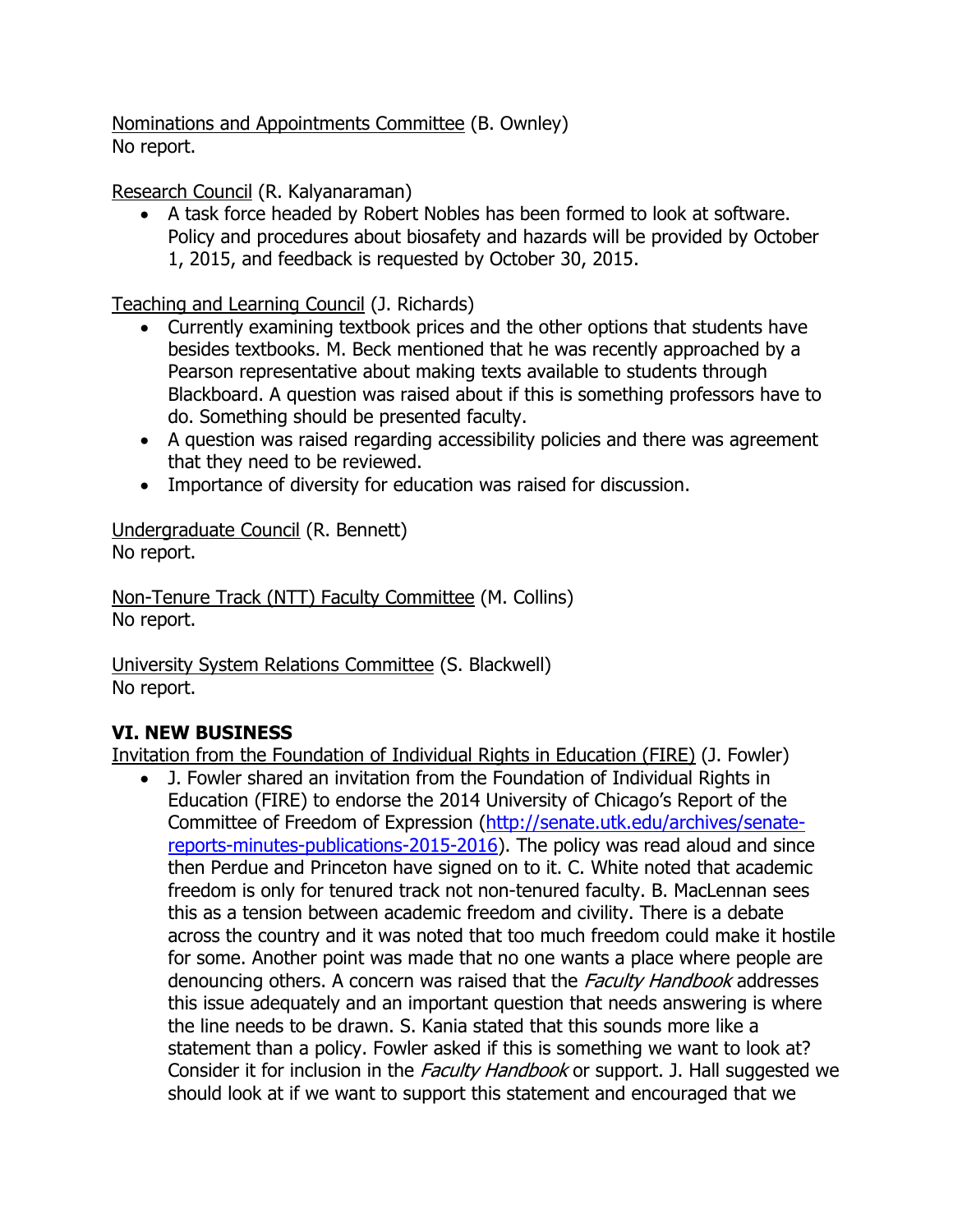Nominations and Appointments Committee (B. Ownley) No report.

Research Council (R. Kalyanaraman)

 A task force headed by Robert Nobles has been formed to look at software. Policy and procedures about biosafety and hazards will be provided by October 1, 2015, and feedback is requested by October 30, 2015.

Teaching and Learning Council (J. Richards)

- Currently examining textbook prices and the other options that students have besides textbooks. M. Beck mentioned that he was recently approached by a Pearson representative about making texts available to students through Blackboard. A question was raised about if this is something professors have to do. Something should be presented faculty.
- A question was raised regarding accessibility policies and there was agreement that they need to be reviewed.
- Importance of diversity for education was raised for discussion.

Undergraduate Council (R. Bennett) No report.

Non-Tenure Track (NTT) Faculty Committee (M. Collins) No report.

University System Relations Committee (S. Blackwell) No report.

# **VI. NEW BUSINESS**

Invitation from the Foundation of Individual Rights in Education (FIRE) (J. Fowler)

 J. Fowler shared an invitation from the Foundation of Individual Rights in Education (FIRE) to endorse the 2014 University of Chicago's Report of the Committee of Freedom of Expression [\(http://senate.utk.edu/archives/senate](http://senate.utk.edu/archives/senate-reports-minutes-publications-2015-2016)[reports-minutes-publications-2015-2016\)](http://senate.utk.edu/archives/senate-reports-minutes-publications-2015-2016). The policy was read aloud and since then Perdue and Princeton have signed on to it. C. White noted that academic freedom is only for tenured track not non-tenured faculty. B. MacLennan sees this as a tension between academic freedom and civility. There is a debate across the country and it was noted that too much freedom could make it hostile for some. Another point was made that no one wants a place where people are denouncing others. A concern was raised that the Faculty Handbook addresses this issue adequately and an important question that needs answering is where the line needs to be drawn. S. Kania stated that this sounds more like a statement than a policy. Fowler asked if this is something we want to look at? Consider it for inclusion in the *Faculty Handbook* or support. J. Hall suggested we should look at if we want to support this statement and encouraged that we